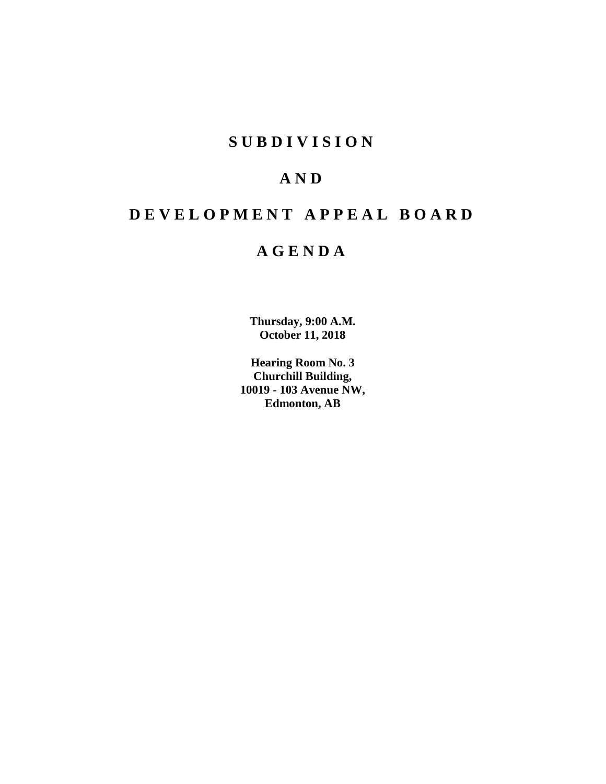# **SUBDIVISION**

# **AND**

# **DEVELOPMENT APPEAL BOARD**

# **AGENDA**

**Thursday, 9:00 A.M. October 11, 2018**

**Hearing Room No. 3 Churchill Building, 10019 - 103 Avenue NW, Edmonton, AB**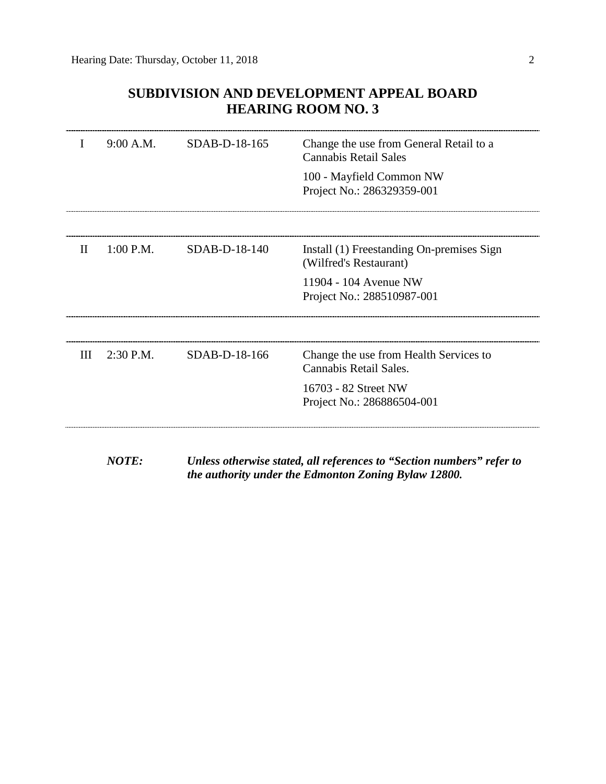# **SUBDIVISION AND DEVELOPMENT APPEAL BOARD HEARING ROOM NO. 3**

| T | 9:00 A.M.    | SDAB-D-18-165   | Change the use from General Retail to a<br>Cannabis Retail Sales      |
|---|--------------|-----------------|-----------------------------------------------------------------------|
|   |              |                 | 100 - Mayfield Common NW<br>Project No.: 286329359-001                |
|   |              |                 |                                                                       |
| П | $1:00$ P.M.  | $SDAB-D-18-140$ | Install (1) Freestanding On-premises Sign<br>(Wilfred's Restaurant)   |
|   |              |                 | 11904 - 104 Avenue NW<br>Project No.: 288510987-001                   |
|   |              |                 |                                                                       |
| Ш | 2:30 P.M.    | SDAB-D-18-166   | Change the use from Health Services to<br>Cannabis Retail Sales.      |
|   |              |                 | 16703 - 82 Street NW<br>Project No.: 286886504-001                    |
|   |              |                 |                                                                       |
|   | <i>NOTE:</i> |                 | Unless otherwise stated, all references to "Section numbers" refer to |

*the authority under the Edmonton Zoning Bylaw 12800.*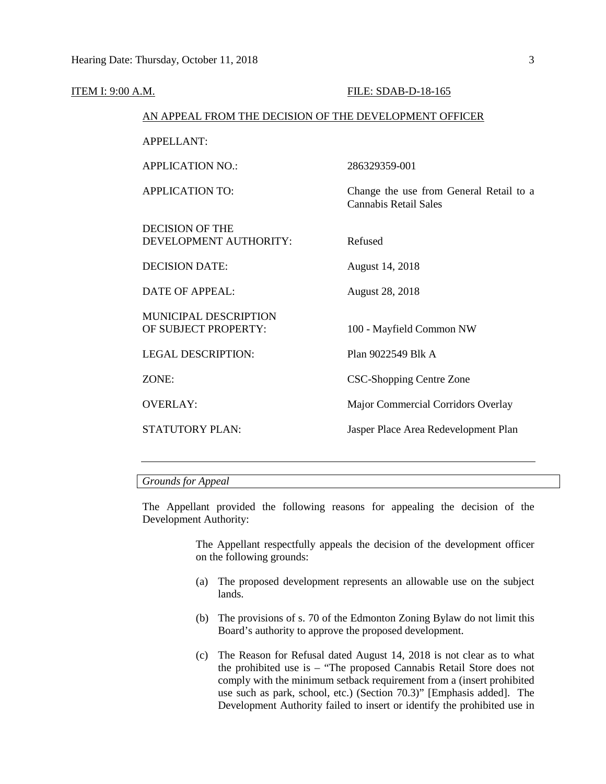| <u>ITEM I: 9:00 A.M.</u> |                                                        | FILE: SDAB-D-18-165                                                     |
|--------------------------|--------------------------------------------------------|-------------------------------------------------------------------------|
|                          | AN APPEAL FROM THE DECISION OF THE DEVELOPMENT OFFICER |                                                                         |
|                          | <b>APPELLANT:</b>                                      |                                                                         |
|                          | <b>APPLICATION NO.:</b>                                | 286329359-001                                                           |
|                          | <b>APPLICATION TO:</b>                                 | Change the use from General Retail to a<br><b>Cannabis Retail Sales</b> |
|                          | <b>DECISION OF THE</b><br>DEVELOPMENT AUTHORITY:       | Refused                                                                 |
|                          | <b>DECISION DATE:</b>                                  | August 14, 2018                                                         |
|                          | <b>DATE OF APPEAL:</b>                                 | <b>August 28, 2018</b>                                                  |
|                          | <b>MUNICIPAL DESCRIPTION</b><br>OF SUBJECT PROPERTY:   | 100 - Mayfield Common NW                                                |
|                          | <b>LEGAL DESCRIPTION:</b>                              | Plan 9022549 Blk A                                                      |
|                          | ZONE:                                                  | <b>CSC-Shopping Centre Zone</b>                                         |
|                          | <b>OVERLAY:</b>                                        | Major Commercial Corridors Overlay                                      |
|                          | <b>STATUTORY PLAN:</b>                                 | Jasper Place Area Redevelopment Plan                                    |
|                          |                                                        |                                                                         |

# *Grounds for Appeal*

The Appellant provided the following reasons for appealing the decision of the Development Authority:

> The Appellant respectfully appeals the decision of the development officer on the following grounds:

- (a) The proposed development represents an allowable use on the subject lands.
- (b) The provisions of s. 70 of the Edmonton Zoning Bylaw do not limit this Board's authority to approve the proposed development.
- (c) The Reason for Refusal dated August 14, 2018 is not clear as to what the prohibited use is – "The proposed Cannabis Retail Store does not comply with the minimum setback requirement from a (insert prohibited use such as park, school, etc.) (Section 70.3)" [Emphasis added]. The Development Authority failed to insert or identify the prohibited use in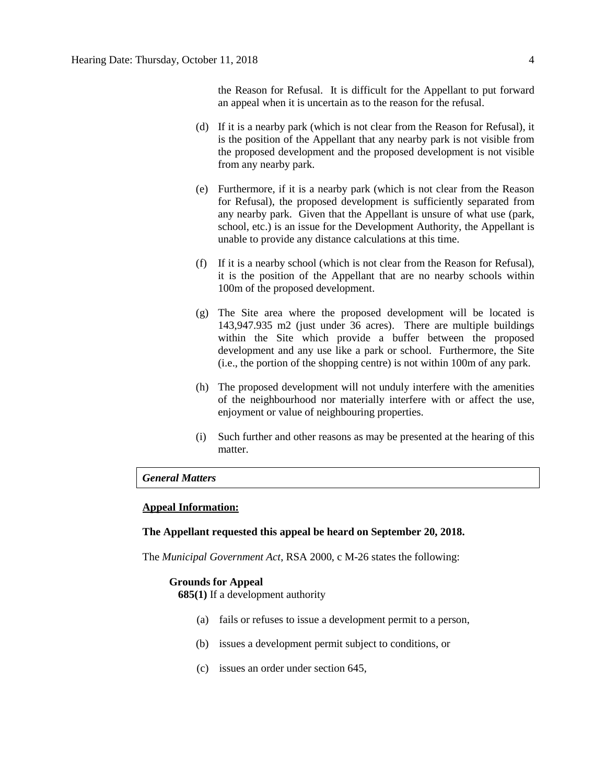the Reason for Refusal. It is difficult for the Appellant to put forward an appeal when it is uncertain as to the reason for the refusal.

- (d) If it is a nearby park (which is not clear from the Reason for Refusal), it is the position of the Appellant that any nearby park is not visible from the proposed development and the proposed development is not visible from any nearby park.
- (e) Furthermore, if it is a nearby park (which is not clear from the Reason for Refusal), the proposed development is sufficiently separated from any nearby park. Given that the Appellant is unsure of what use (park, school, etc.) is an issue for the Development Authority, the Appellant is unable to provide any distance calculations at this time.
- (f) If it is a nearby school (which is not clear from the Reason for Refusal), it is the position of the Appellant that are no nearby schools within 100m of the proposed development.
- (g) The Site area where the proposed development will be located is 143,947.935 m2 (just under 36 acres). There are multiple buildings within the Site which provide a buffer between the proposed development and any use like a park or school. Furthermore, the Site (i.e., the portion of the shopping centre) is not within 100m of any park.
- (h) The proposed development will not unduly interfere with the amenities of the neighbourhood nor materially interfere with or affect the use, enjoyment or value of neighbouring properties.
- (i) Such further and other reasons as may be presented at the hearing of this matter.

# *General Matters*

### **Appeal Information:**

#### **The Appellant requested this appeal be heard on September 20, 2018.**

The *Municipal Government Act*, RSA 2000, c M-26 states the following:

#### **Grounds for Appeal**

**685(1)** If a development authority

- (a) fails or refuses to issue a development permit to a person,
- (b) issues a development permit subject to conditions, or
- (c) issues an order under section 645,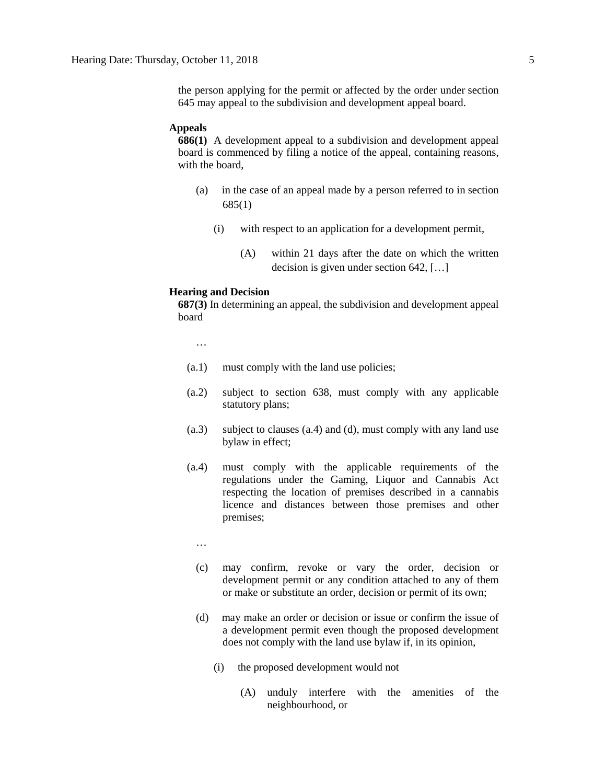the person applying for the permit or affected by the order under section 645 may appeal to the subdivision and development appeal board.

#### **Appeals**

**686(1)** A development appeal to a subdivision and development appeal board is commenced by filing a notice of the appeal, containing reasons, with the board,

- (a) in the case of an appeal made by a person referred to in section 685(1)
	- (i) with respect to an application for a development permit,
		- (A) within 21 days after the date on which the written decision is given under section 642, […]

#### **Hearing and Decision**

**687(3)** In determining an appeal, the subdivision and development appeal board

…

- (a.1) must comply with the land use policies;
- (a.2) subject to section 638, must comply with any applicable statutory plans;
- (a.3) subject to clauses (a.4) and (d), must comply with any land use bylaw in effect;
- (a.4) must comply with the applicable requirements of the regulations under the Gaming, Liquor and Cannabis Act respecting the location of premises described in a cannabis licence and distances between those premises and other premises;
	- …
	- (c) may confirm, revoke or vary the order, decision or development permit or any condition attached to any of them or make or substitute an order, decision or permit of its own;
	- (d) may make an order or decision or issue or confirm the issue of a development permit even though the proposed development does not comply with the land use bylaw if, in its opinion,
		- (i) the proposed development would not
			- (A) unduly interfere with the amenities of the neighbourhood, or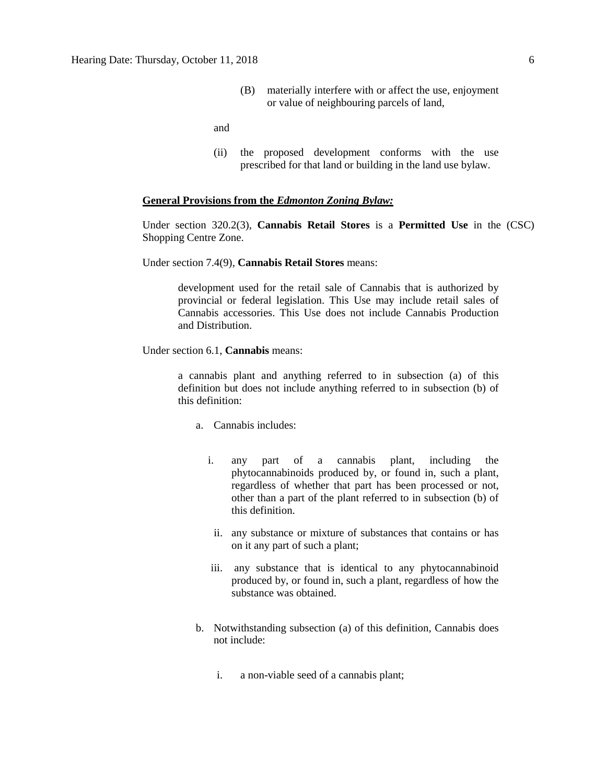(B) materially interfere with or affect the use, enjoyment or value of neighbouring parcels of land,

and

(ii) the proposed development conforms with the use prescribed for that land or building in the land use bylaw.

#### **General Provisions from the** *Edmonton Zoning Bylaw:*

Under section 320.2(3), **Cannabis Retail Stores** is a **Permitted Use** in the (CSC) Shopping Centre Zone.

Under section 7.4(9), **Cannabis Retail Stores** means:

development used for the retail sale of Cannabis that is authorized by provincial or federal legislation. This Use may include retail sales of Cannabis accessories. This Use does not include Cannabis Production and Distribution.

Under section 6.1, **Cannabis** means:

a cannabis plant and anything referred to in subsection (a) of this definition but does not include anything referred to in subsection (b) of this definition:

- a. Cannabis includes:
	- i. any part of a cannabis plant, including the phytocannabinoids produced by, or found in, such a plant, regardless of whether that part has been processed or not, other than a part of the plant referred to in subsection (b) of this definition.
	- ii. any substance or mixture of substances that contains or has on it any part of such a plant;
	- iii. any substance that is identical to any phytocannabinoid produced by, or found in, such a plant, regardless of how the substance was obtained.
- b. Notwithstanding subsection (a) of this definition, Cannabis does not include:
	- i. a non-viable seed of a cannabis plant;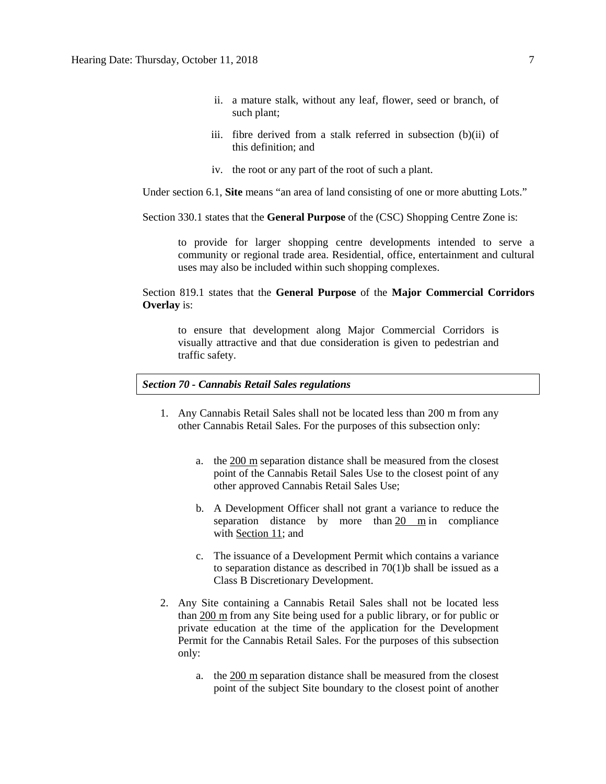- ii. a mature stalk, without any leaf, flower, seed or branch, of such plant;
- iii. fibre derived from a stalk referred in subsection (b)(ii) of this definition; and
- iv. the root or any part of the root of such a plant.

Under section 6.1, **Site** means "an area of land consisting of one or more abutting Lots."

Section 330.1 states that the **General Purpose** of the (CSC) Shopping Centre Zone is:

to provide for larger shopping centre developments intended to serve a community or regional trade area. Residential, office, entertainment and cultural uses may also be included within such shopping complexes.

## Section 819.1 states that the **General Purpose** of the **Major Commercial Corridors Overlay** is:

to ensure that development along Major Commercial Corridors is visually attractive and that due consideration is given to pedestrian and traffic safety.

#### *Section 70 - Cannabis Retail Sales regulations*

- 1. Any Cannabis Retail Sales shall not be located less than 200 m from any other Cannabis Retail Sales. For the purposes of this subsection only:
	- a. the [200 m](javascript:void(0);) separation distance shall be measured from the closest point of the Cannabis Retail Sales Use to the closest point of any other approved Cannabis Retail Sales Use;
	- b. A Development Officer shall not grant a variance to reduce the separation distance by more than [20 m](javascript:void(0);) in compliance with [Section 11;](https://webdocs.edmonton.ca/InfraPlan/zoningbylaw/ZoningBylaw/Part1/Administrative/11__Authority_and_Responsibility_of_the_Development_Officer.htm) and
	- c. The issuance of a Development Permit which contains a variance to separation distance as described in 70(1)b shall be issued as a Class B Discretionary Development.
- 2. Any Site containing a Cannabis Retail Sales shall not be located less than [200 m](javascript:void(0);) from any Site being used for a public library, or for public or private education at the time of the application for the Development Permit for the Cannabis Retail Sales. For the purposes of this subsection only:
	- a. the [200 m](javascript:void(0);) separation distance shall be measured from the closest point of the subject Site boundary to the closest point of another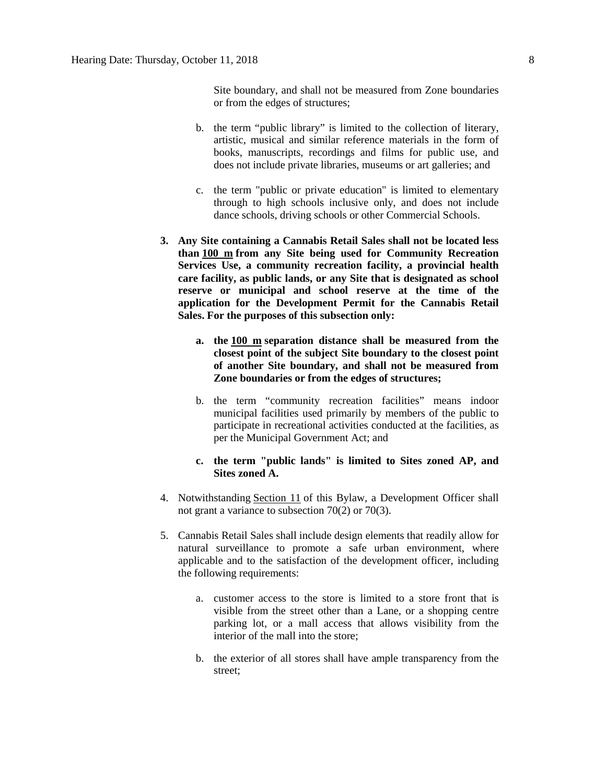Site boundary, and shall not be measured from Zone boundaries or from the edges of structures;

- b. the term "public library" is limited to the collection of literary, artistic, musical and similar reference materials in the form of books, manuscripts, recordings and films for public use, and does not include private libraries, museums or art galleries; and
- c. the term "public or private education" is limited to elementary through to high schools inclusive only, and does not include dance schools, driving schools or other Commercial Schools.
- **3. Any Site containing a Cannabis Retail Sales shall not be located less than [100 m](javascript:void(0);) from any Site being used for Community Recreation Services Use, a community recreation facility, a provincial health care facility, as public lands, or any Site that is designated as school reserve or municipal and school reserve at the time of the application for the Development Permit for the Cannabis Retail Sales. For the purposes of this subsection only:**
	- **a. the [100 m](javascript:void(0);) separation distance shall be measured from the closest point of the subject Site boundary to the closest point of another Site boundary, and shall not be measured from Zone boundaries or from the edges of structures;**
	- b. the term "community recreation facilities" means indoor municipal facilities used primarily by members of the public to participate in recreational activities conducted at the facilities, as per the Municipal Government Act; and
	- **c. the term "public lands" is limited to Sites zoned AP, and Sites zoned A.**
- 4. Notwithstanding [Section 11](https://webdocs.edmonton.ca/InfraPlan/zoningbylaw/ZoningBylaw/Part1/Administrative/11__Authority_and_Responsibility_of_the_Development_Officer.htm) of this Bylaw, a Development Officer shall not grant a variance to subsection 70(2) or 70(3).
- 5. Cannabis Retail Sales shall include design elements that readily allow for natural surveillance to promote a safe urban environment, where applicable and to the satisfaction of the development officer, including the following requirements:
	- a. customer access to the store is limited to a store front that is visible from the street other than a Lane, or a shopping centre parking lot, or a mall access that allows visibility from the interior of the mall into the store;
	- b. the exterior of all stores shall have ample transparency from the street;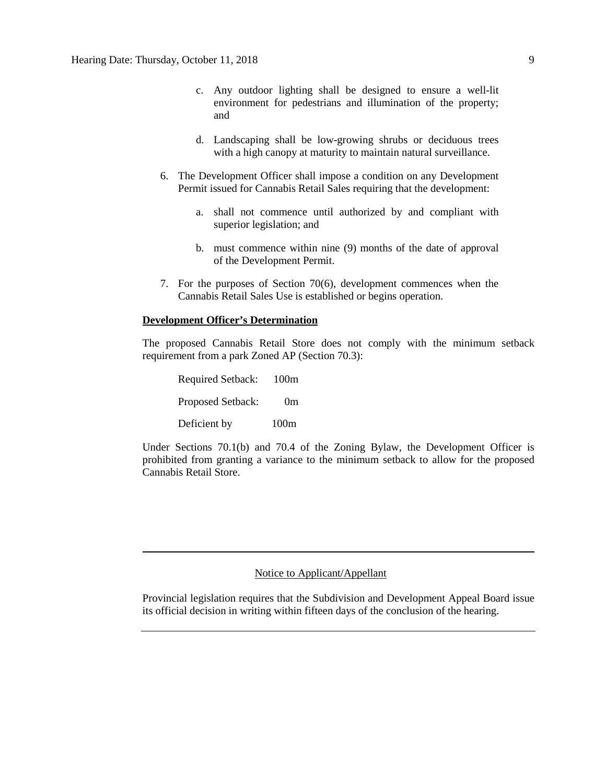- c. Any outdoor lighting shall be designed to ensure a well-lit environment for pedestrians and illumination of the property; and
- d. Landscaping shall be low-growing shrubs or deciduous trees with a high canopy at maturity to maintain natural surveillance.
- 6. The Development Officer shall impose a condition on any Development Permit issued for Cannabis Retail Sales requiring that the development:
	- a. shall not commence until authorized by and compliant with superior legislation; and
	- b. must commence within nine (9) months of the date of approval of the Development Permit.
- 7. For the purposes of Section 70(6), development commences when the Cannabis Retail Sales Use is established or begins operation.

#### **Development Officer's Determination**

The proposed Cannabis Retail Store does not comply with the minimum setback requirement from a park Zoned AP (Section 70.3):

| <b>Required Setback:</b> | 100m           |
|--------------------------|----------------|
| Proposed Setback:        | 0 <sub>m</sub> |
| Deficient by             | 100m           |

Under Sections 70.1(b) and 70.4 of the Zoning Bylaw, the Development Officer is prohibited from granting a variance to the minimum setback to allow for the proposed Cannabis Retail Store.

## Notice to Applicant/Appellant

Provincial legislation requires that the Subdivision and Development Appeal Board issue its official decision in writing within fifteen days of the conclusion of the hearing.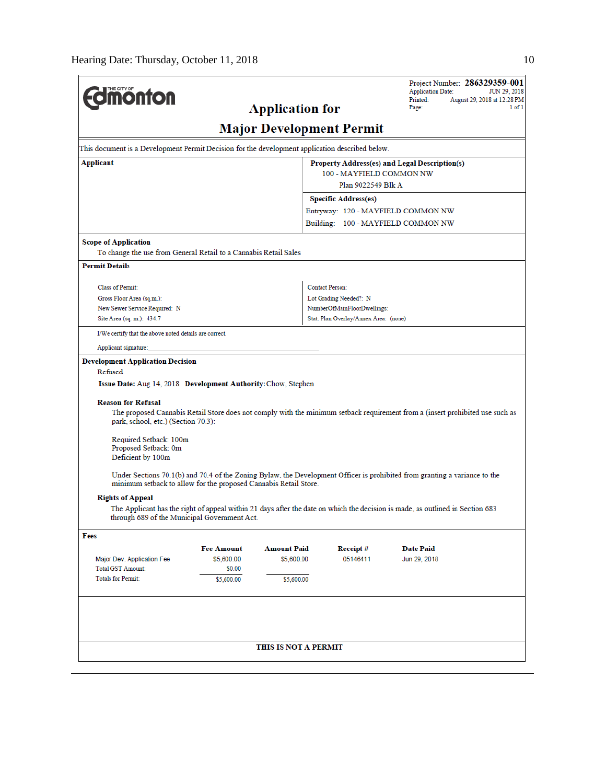l.

| <b>dimonton</b>                                                                                                                                                                     |                      |                                       |                                                | <b>Application Date:</b><br>Printed:                                                                                          | Project Number: 286329359-001<br>JUN 29, 2018 |  |  |
|-------------------------------------------------------------------------------------------------------------------------------------------------------------------------------------|----------------------|---------------------------------------|------------------------------------------------|-------------------------------------------------------------------------------------------------------------------------------|-----------------------------------------------|--|--|
|                                                                                                                                                                                     | Page:                | August 29, 2018 at 12:28 PM<br>1 of 1 |                                                |                                                                                                                               |                                               |  |  |
|                                                                                                                                                                                     |                      | <b>Major Development Permit</b>       |                                                |                                                                                                                               |                                               |  |  |
| This document is a Development Permit Decision for the development application described below.                                                                                     |                      |                                       |                                                |                                                                                                                               |                                               |  |  |
| Applicant<br>Property Address(es) and Legal Description(s)                                                                                                                          |                      |                                       |                                                |                                                                                                                               |                                               |  |  |
|                                                                                                                                                                                     |                      |                                       | 100 - MAYFIELD COMMON NW<br>Plan 9022549 Blk A |                                                                                                                               |                                               |  |  |
|                                                                                                                                                                                     |                      |                                       |                                                |                                                                                                                               |                                               |  |  |
|                                                                                                                                                                                     |                      |                                       | <b>Specific Address(es)</b>                    |                                                                                                                               |                                               |  |  |
|                                                                                                                                                                                     |                      |                                       |                                                | Entryway: 120 - MAYFIELD COMMON NW<br>Building: 100 - MAYFIELD COMMON NW                                                      |                                               |  |  |
|                                                                                                                                                                                     |                      |                                       |                                                |                                                                                                                               |                                               |  |  |
| <b>Scope of Application</b><br>To change the use from General Retail to a Cannabis Retail Sales                                                                                     |                      |                                       |                                                |                                                                                                                               |                                               |  |  |
| <b>Permit Details</b>                                                                                                                                                               |                      |                                       |                                                |                                                                                                                               |                                               |  |  |
| Class of Permit:                                                                                                                                                                    |                      |                                       | <b>Contact Person:</b>                         |                                                                                                                               |                                               |  |  |
| Gross Floor Area (sq.m.):                                                                                                                                                           |                      |                                       | Lot Grading Needed?: N                         |                                                                                                                               |                                               |  |  |
| New Sewer Service Required: N                                                                                                                                                       |                      |                                       | NumberOfMainFloorDwellings:                    |                                                                                                                               |                                               |  |  |
| Site Area (sq. m.): 434.7                                                                                                                                                           |                      |                                       | Stat. Plan Overlay/Annex Area: (none)          |                                                                                                                               |                                               |  |  |
| I/We certify that the above noted details are correct.                                                                                                                              |                      |                                       |                                                |                                                                                                                               |                                               |  |  |
| Applicant signature:                                                                                                                                                                |                      |                                       |                                                |                                                                                                                               |                                               |  |  |
| Issue Date: Aug 14, 2018 Development Authority: Chow, Stephen<br><b>Reason for Refusal</b><br>park, school, etc.) (Section 70.3):<br>Required Setback: 100m<br>Proposed Setback: 0m |                      |                                       |                                                | The proposed Cannabis Retail Store does not comply with the minimum setback requirement from a (insert prohibited use such as |                                               |  |  |
| Deficient by 100m<br>minimum setback to allow for the proposed Cannabis Retail Store.                                                                                               |                      |                                       |                                                | Under Sections 70.1(b) and 70.4 of the Zoning Bylaw, the Development Officer is prohibited from granting a variance to the    |                                               |  |  |
| <b>Rights of Appeal</b>                                                                                                                                                             |                      |                                       |                                                |                                                                                                                               |                                               |  |  |
| through 689 of the Municipal Government Act.                                                                                                                                        |                      |                                       |                                                | The Applicant has the right of appeal within 21 days after the date on which the decision is made, as outlined in Section 683 |                                               |  |  |
| Fees                                                                                                                                                                                |                      |                                       |                                                |                                                                                                                               |                                               |  |  |
|                                                                                                                                                                                     | <b>Fee Amount</b>    | <b>Amount Paid</b>                    | Receipt#                                       | <b>Date Paid</b>                                                                                                              |                                               |  |  |
| Major Dev. Application Fee                                                                                                                                                          | \$5,600.00           | \$5,600.00                            | 05146411                                       | Jun 29, 2018                                                                                                                  |                                               |  |  |
| <b>Total GST Amount:</b><br><b>Totals for Permit:</b>                                                                                                                               | \$0.00<br>\$5,600.00 | \$5,600.00                            |                                                |                                                                                                                               |                                               |  |  |
|                                                                                                                                                                                     |                      |                                       |                                                |                                                                                                                               |                                               |  |  |
|                                                                                                                                                                                     |                      | THIS IS NOT A PERMIT                  |                                                |                                                                                                                               |                                               |  |  |
|                                                                                                                                                                                     |                      |                                       |                                                |                                                                                                                               |                                               |  |  |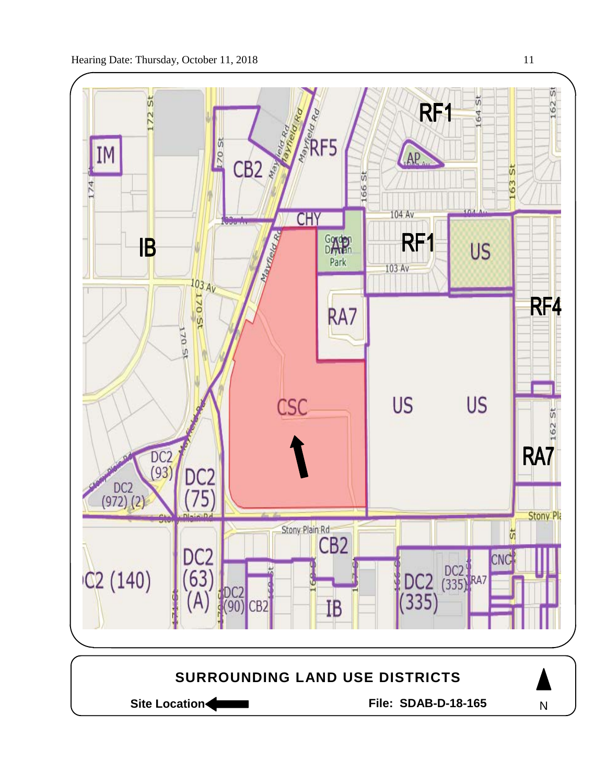

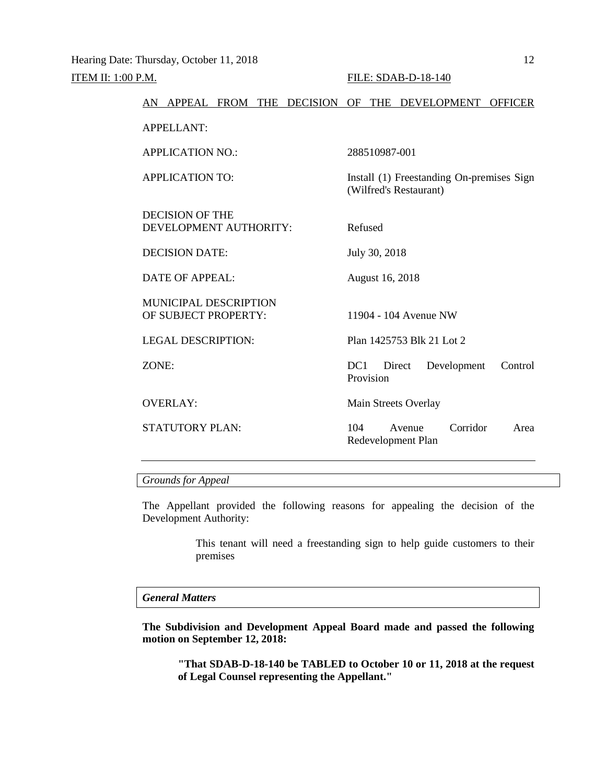|       |                                                      |  | AN APPEAL FROM THE DECISION OF THE DEVELOPMENT |         |                 |                              |                                           | <b>OFFICER</b> |
|-------|------------------------------------------------------|--|------------------------------------------------|---------|-----------------|------------------------------|-------------------------------------------|----------------|
|       | <b>APPELLANT:</b>                                    |  |                                                |         |                 |                              |                                           |                |
|       | <b>APPLICATION NO.:</b>                              |  |                                                |         | 288510987-001   |                              |                                           |                |
|       | <b>APPLICATION TO:</b>                               |  |                                                |         |                 | (Wilfred's Restaurant)       | Install (1) Freestanding On-premises Sign |                |
|       | <b>DECISION OF THE</b><br>DEVELOPMENT AUTHORITY:     |  |                                                | Refused |                 |                              |                                           |                |
|       | <b>DECISION DATE:</b>                                |  |                                                |         | July 30, 2018   |                              |                                           |                |
|       | <b>DATE OF APPEAL:</b>                               |  |                                                |         | August 16, 2018 |                              |                                           |                |
|       | <b>MUNICIPAL DESCRIPTION</b><br>OF SUBJECT PROPERTY: |  |                                                |         |                 | 11904 - 104 Avenue NW        |                                           |                |
|       | <b>LEGAL DESCRIPTION:</b>                            |  |                                                |         |                 |                              | Plan 1425753 Blk 21 Lot 2                 |                |
| ZONE: |                                                      |  |                                                | DC1     | Provision       | Direct                       | Development                               | Control        |
|       | <b>OVERLAY:</b>                                      |  |                                                |         |                 | Main Streets Overlay         |                                           |                |
|       | <b>STATUTORY PLAN:</b>                               |  |                                                | 104     |                 | Avenue<br>Redevelopment Plan | Corridor                                  | Area           |
|       |                                                      |  |                                                |         |                 |                              |                                           |                |

# *Grounds for Appeal*

The Appellant provided the following reasons for appealing the decision of the Development Authority:

> This tenant will need a freestanding sign to help guide customers to their premises

#### *General Matters*

**The Subdivision and Development Appeal Board made and passed the following motion on September 12, 2018:**

**"That SDAB-D-18-140 be TABLED to October 10 or 11, 2018 at the request of Legal Counsel representing the Appellant."**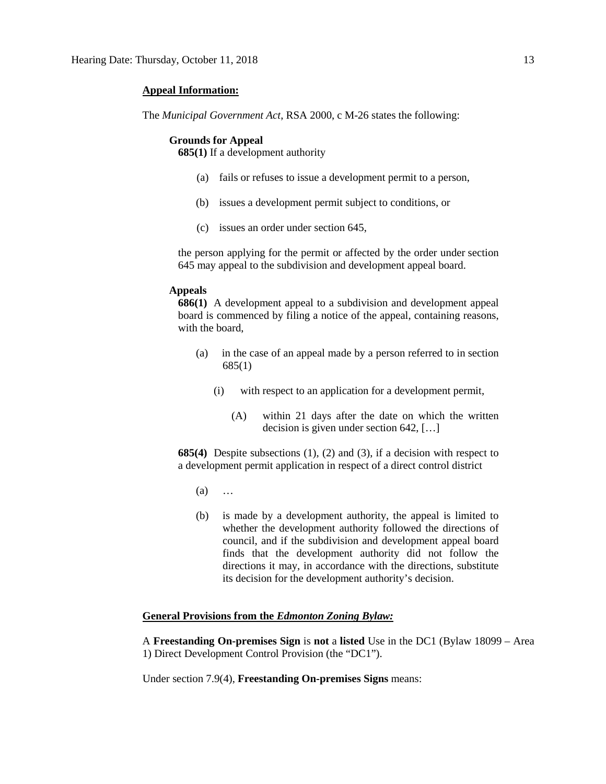### **Appeal Information:**

The *Municipal Government Act*, RSA 2000, c M-26 states the following:

#### **Grounds for Appeal**

**685(1)** If a development authority

- (a) fails or refuses to issue a development permit to a person,
- (b) issues a development permit subject to conditions, or
- (c) issues an order under section 645,

the person applying for the permit or affected by the order under section 645 may appeal to the subdivision and development appeal board.

#### **Appeals**

**686(1)** A development appeal to a subdivision and development appeal board is commenced by filing a notice of the appeal, containing reasons, with the board,

- (a) in the case of an appeal made by a person referred to in section 685(1)
	- (i) with respect to an application for a development permit,
		- (A) within 21 days after the date on which the written decision is given under section 642, […]

**685(4)** Despite subsections (1), (2) and (3), if a decision with respect to a development permit application in respect of a direct control district

- (a) …
- (b) is made by a development authority, the appeal is limited to whether the development authority followed the directions of council, and if the subdivision and development appeal board finds that the development authority did not follow the directions it may, in accordance with the directions, substitute its decision for the development authority's decision.

#### **General Provisions from the** *Edmonton Zoning Bylaw:*

A **Freestanding On-premises Sign** is **not** a **listed** Use in the DC1 (Bylaw 18099 – Area 1) Direct Development Control Provision (the "DC1").

Under section 7.9(4), **Freestanding On-premises Signs** means: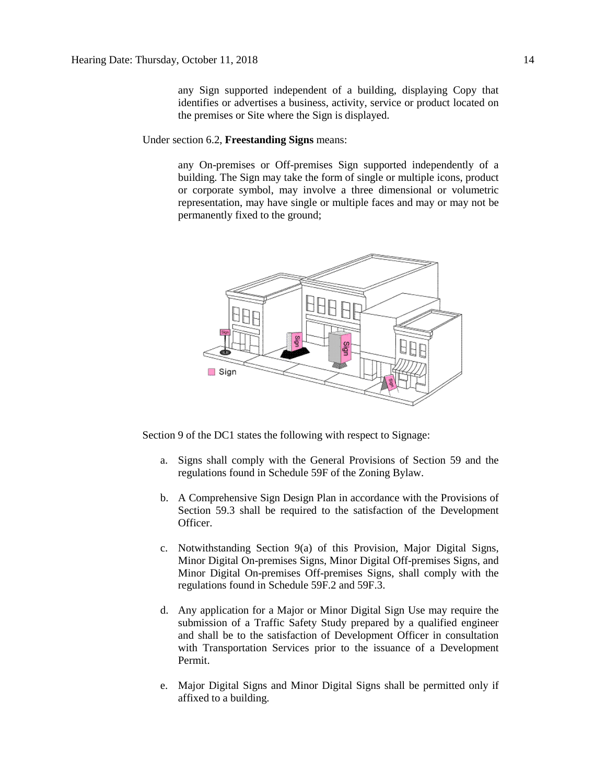any Sign supported independent of a building, displaying Copy that identifies or advertises a business, activity, service or product located on the premises or Site where the Sign is displayed.

### Under section 6.2, **Freestanding Signs** means:

any On-premises or Off-premises Sign supported independently of a building. The Sign may take the form of single or multiple icons, product or corporate symbol, may involve a three dimensional or volumetric representation, may have single or multiple faces and may or may not be permanently fixed to the ground;



Section 9 of the DC1 states the following with respect to Signage:

- a. Signs shall comply with the General Provisions of Section 59 and the regulations found in Schedule 59F of the Zoning Bylaw.
- b. A Comprehensive Sign Design Plan in accordance with the Provisions of Section 59.3 shall be required to the satisfaction of the Development Officer.
- c. Notwithstanding Section 9(a) of this Provision, Major Digital Signs, Minor Digital On-premises Signs, Minor Digital Off-premises Signs, and Minor Digital On-premises Off-premises Signs, shall comply with the regulations found in Schedule 59F.2 and 59F.3.
- d. Any application for a Major or Minor Digital Sign Use may require the submission of a Traffic Safety Study prepared by a qualified engineer and shall be to the satisfaction of Development Officer in consultation with Transportation Services prior to the issuance of a Development Permit.
- e. Major Digital Signs and Minor Digital Signs shall be permitted only if affixed to a building.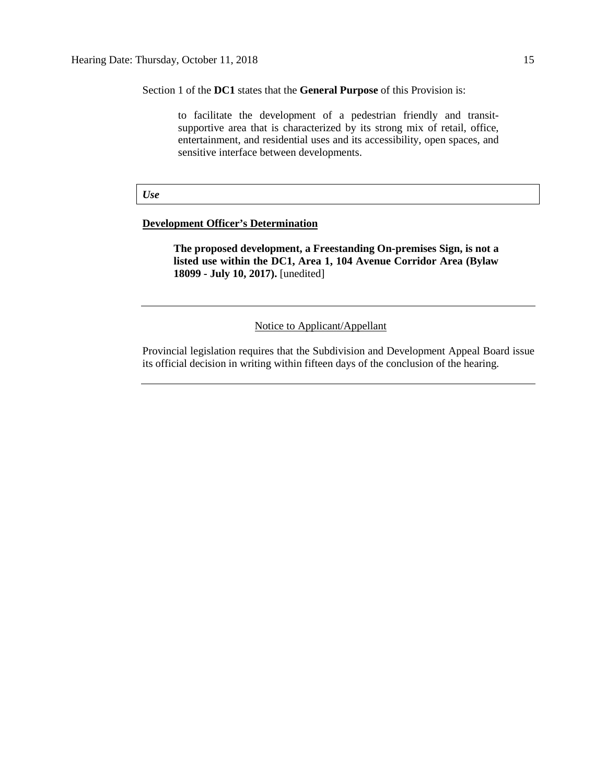Section 1 of the **DC1** states that the **General Purpose** of this Provision is:

to facilitate the development of a pedestrian friendly and transitsupportive area that is characterized by its strong mix of retail, office, entertainment, and residential uses and its accessibility, open spaces, and sensitive interface between developments.

#### *Use*

# **Development Officer's Determination**

**The proposed development, a Freestanding On-premises Sign, is not a listed use within the DC1, Area 1, 104 Avenue Corridor Area (Bylaw 18099 - July 10, 2017).** [unedited]

Notice to Applicant/Appellant

Provincial legislation requires that the Subdivision and Development Appeal Board issue its official decision in writing within fifteen days of the conclusion of the hearing.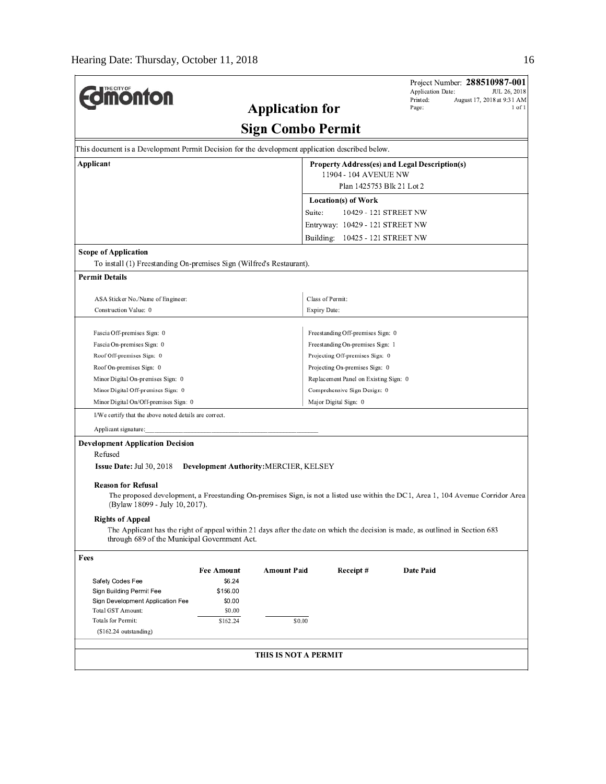$\overline{a}$ 

| <b>Imonton</b>                                                                                                                                                                                                                                                                                                                                                                                             |                             | <b>Application for</b>                             |                                                                    | Application Date:<br>Printed:<br>Page: | Project Number: 288510987-001<br>JUL 26, 2018<br>August 17, 2018 at 9:31 AM<br>1 of 1 |
|------------------------------------------------------------------------------------------------------------------------------------------------------------------------------------------------------------------------------------------------------------------------------------------------------------------------------------------------------------------------------------------------------------|-----------------------------|----------------------------------------------------|--------------------------------------------------------------------|----------------------------------------|---------------------------------------------------------------------------------------|
|                                                                                                                                                                                                                                                                                                                                                                                                            |                             | Sign Combo Permit                                  |                                                                    |                                        |                                                                                       |
| This document is a Development Permit Decision for the development application described below.                                                                                                                                                                                                                                                                                                            |                             |                                                    |                                                                    |                                        |                                                                                       |
| Applicant                                                                                                                                                                                                                                                                                                                                                                                                  |                             | 11904 - 104 AVENUE NW<br>Plan 1425753 Blk 21 Lot 2 | Property Address(es) and Legal Description(s)                      |                                        |                                                                                       |
|                                                                                                                                                                                                                                                                                                                                                                                                            |                             |                                                    |                                                                    |                                        |                                                                                       |
|                                                                                                                                                                                                                                                                                                                                                                                                            |                             | Suite:                                             | Location(s) of Work                                                | 10429 - 121 STREET NW                  |                                                                                       |
|                                                                                                                                                                                                                                                                                                                                                                                                            |                             |                                                    |                                                                    |                                        |                                                                                       |
|                                                                                                                                                                                                                                                                                                                                                                                                            |                             |                                                    | Entryway: 10429 - 121 STREET NW<br>Building: 10425 - 121 STREET NW |                                        |                                                                                       |
|                                                                                                                                                                                                                                                                                                                                                                                                            |                             |                                                    |                                                                    |                                        |                                                                                       |
| <b>Scope of Application</b><br>To install (1) Freestanding On-premises Sign (Wilfred's Restaurant).                                                                                                                                                                                                                                                                                                        |                             |                                                    |                                                                    |                                        |                                                                                       |
| <b>Permit Details</b>                                                                                                                                                                                                                                                                                                                                                                                      |                             |                                                    |                                                                    |                                        |                                                                                       |
|                                                                                                                                                                                                                                                                                                                                                                                                            |                             |                                                    |                                                                    |                                        |                                                                                       |
| ASA Sticker No./Name of Engineer:                                                                                                                                                                                                                                                                                                                                                                          |                             |                                                    | Class of Permit:                                                   |                                        |                                                                                       |
| Construction Value: 0                                                                                                                                                                                                                                                                                                                                                                                      |                             | Expiry Date:                                       |                                                                    |                                        |                                                                                       |
| Fascia Off-premises Sign: 0                                                                                                                                                                                                                                                                                                                                                                                |                             |                                                    | Freestanding Off-premises Sign: 0                                  |                                        |                                                                                       |
| Fascia On-premises Sign: 0                                                                                                                                                                                                                                                                                                                                                                                 |                             |                                                    | Freestanding On-premises Sign: 1                                   |                                        |                                                                                       |
| Roof Off-premises Sign: 0                                                                                                                                                                                                                                                                                                                                                                                  |                             |                                                    | Projecting Off-premises Sign: 0                                    |                                        |                                                                                       |
| Roof On-premises Sign: 0                                                                                                                                                                                                                                                                                                                                                                                   |                             |                                                    | Projecting On-premises Sign: 0                                     |                                        |                                                                                       |
| Minor Digital On-premises Sign: 0                                                                                                                                                                                                                                                                                                                                                                          |                             |                                                    | Replacement Panel on Existing Sign: 0                              |                                        |                                                                                       |
| Minor Digital Off-premises Sign: 0                                                                                                                                                                                                                                                                                                                                                                         |                             |                                                    | Comprehensive Sign Design: 0                                       |                                        |                                                                                       |
| Minor Digital On/Off-premises Sign: 0                                                                                                                                                                                                                                                                                                                                                                      |                             |                                                    | Major Digital Sign: 0                                              |                                        |                                                                                       |
| I/We certify that the above noted details are correct.                                                                                                                                                                                                                                                                                                                                                     |                             |                                                    |                                                                    |                                        |                                                                                       |
| Applicant signature:                                                                                                                                                                                                                                                                                                                                                                                       |                             |                                                    |                                                                    |                                        |                                                                                       |
| <b>Development Application Decision</b>                                                                                                                                                                                                                                                                                                                                                                    |                             |                                                    |                                                                    |                                        |                                                                                       |
| Refused                                                                                                                                                                                                                                                                                                                                                                                                    |                             |                                                    |                                                                    |                                        |                                                                                       |
| <b>Issue Date: Jul 30, 2018</b>                                                                                                                                                                                                                                                                                                                                                                            |                             | Development Authority: MERCIER, KELSEY             |                                                                    |                                        |                                                                                       |
| <b>Reason for Refusal</b><br>The proposed development, a Freestanding On-premises Sign, is not a listed use within the DC1, Area 1, 104 Avenue Corridor Area<br>(Bylaw 18099 - July 10, 2017).<br><b>Rights of Appeal</b><br>The Applicant has the right of appeal within 21 days after the date on which the decision is made, as outlined in Section 683<br>through 689 of the Municipal Government Act. |                             |                                                    |                                                                    |                                        |                                                                                       |
|                                                                                                                                                                                                                                                                                                                                                                                                            |                             |                                                    |                                                                    |                                        |                                                                                       |
| Fees                                                                                                                                                                                                                                                                                                                                                                                                       |                             |                                                    |                                                                    |                                        |                                                                                       |
| Safety Codes Fee                                                                                                                                                                                                                                                                                                                                                                                           | <b>Fee Amount</b><br>\$6.24 | Amount Paid                                        | Receipt#                                                           | Date Paid                              |                                                                                       |
| Sign Building Permit Fee                                                                                                                                                                                                                                                                                                                                                                                   | \$156.00                    |                                                    |                                                                    |                                        |                                                                                       |
| Sign Development Application Fee                                                                                                                                                                                                                                                                                                                                                                           | \$0.00                      |                                                    |                                                                    |                                        |                                                                                       |
| Total GST Amount:                                                                                                                                                                                                                                                                                                                                                                                          | \$0.00                      |                                                    |                                                                    |                                        |                                                                                       |
| Totals for Permit:<br>$(S162, 24$ outstanding)                                                                                                                                                                                                                                                                                                                                                             | \$162.24                    | \$0.00                                             |                                                                    |                                        |                                                                                       |
|                                                                                                                                                                                                                                                                                                                                                                                                            |                             |                                                    |                                                                    |                                        |                                                                                       |
|                                                                                                                                                                                                                                                                                                                                                                                                            |                             | THIS IS NOT A PERMIT                               |                                                                    |                                        |                                                                                       |
|                                                                                                                                                                                                                                                                                                                                                                                                            |                             |                                                    |                                                                    |                                        |                                                                                       |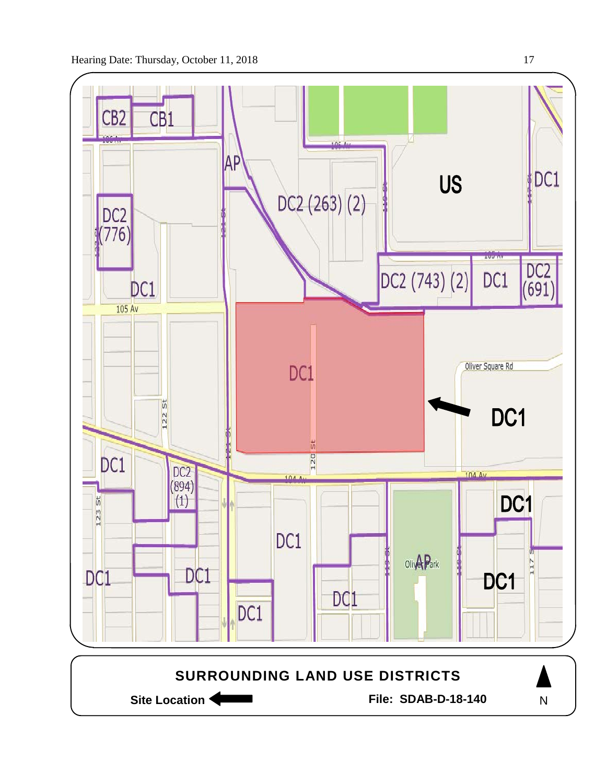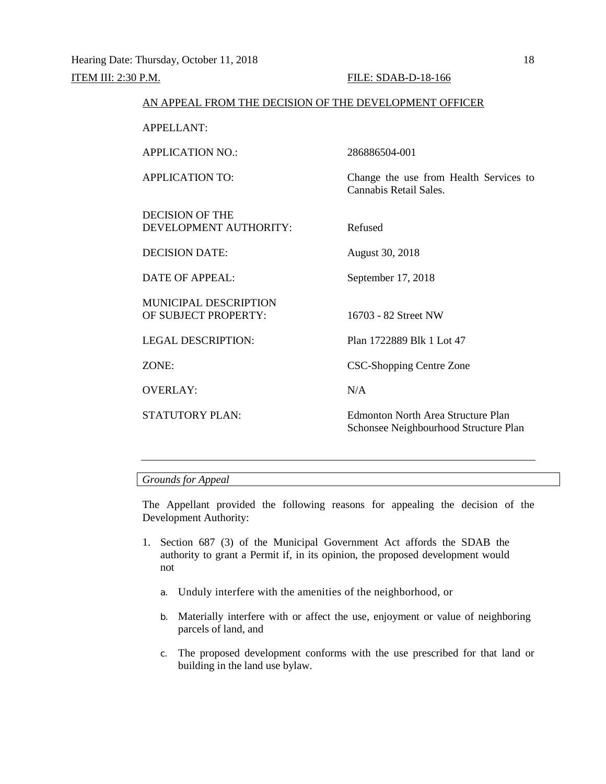| AN APPEAL FROM THE DECISION OF THE DEVELOPMENT OFFICER |                                                                                    |
|--------------------------------------------------------|------------------------------------------------------------------------------------|
| <b>APPELLANT:</b>                                      |                                                                                    |
| <b>APPLICATION NO.:</b>                                | 286886504-001                                                                      |
| <b>APPLICATION TO:</b>                                 | Change the use from Health Services to<br>Cannabis Retail Sales.                   |
| <b>DECISION OF THE</b><br>DEVELOPMENT AUTHORITY:       | Refused                                                                            |
| <b>DECISION DATE:</b>                                  | August 30, 2018                                                                    |
| <b>DATE OF APPEAL:</b>                                 | September 17, 2018                                                                 |
| <b>MUNICIPAL DESCRIPTION</b><br>OF SUBJECT PROPERTY:   | 16703 - 82 Street NW                                                               |
| <b>LEGAL DESCRIPTION:</b>                              | Plan 1722889 Blk 1 Lot 47                                                          |
| ZONE:                                                  | <b>CSC-Shopping Centre Zone</b>                                                    |
| <b>OVERLAY:</b>                                        | N/A                                                                                |
| <b>STATUTORY PLAN:</b>                                 | <b>Edmonton North Area Structure Plan</b><br>Schonsee Neighbourhood Structure Plan |

## *Grounds for Appeal*

The Appellant provided the following reasons for appealing the decision of the Development Authority:

- 1. Section 687 (3) of the Municipal Government Act affords the SDAB the authority to grant a Permit if, in its opinion, the proposed development would not
	- a. Unduly interfere with the amenities of the neighborhood, or
	- b. Materially interfere with or affect the use, enjoyment or value of neighboring parcels of land, and
	- c. The proposed development conforms with the use prescribed for that land or building in the land use bylaw.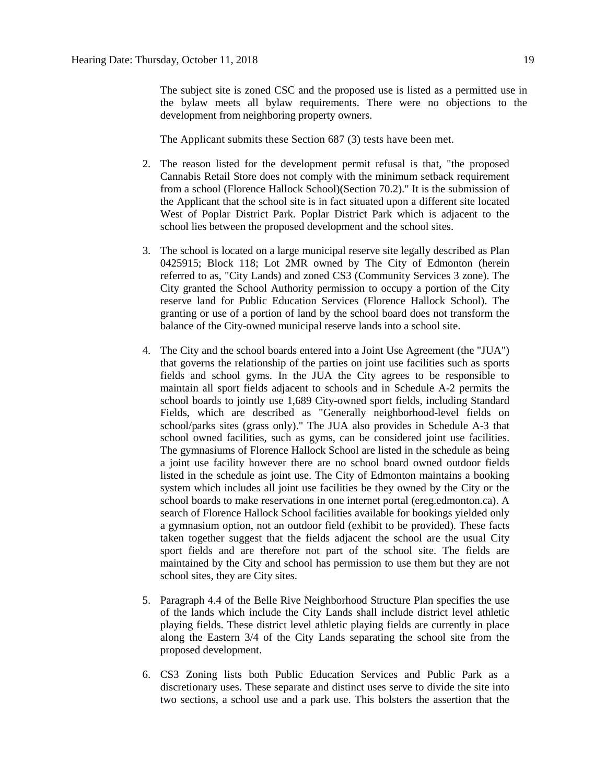The subject site is zoned CSC and the proposed use is listed as a permitted use in the bylaw meets all bylaw requirements. There were no objections to the development from neighboring property owners.

The Applicant submits these Section 687 (3) tests have been met.

- 2. The reason listed for the development permit refusal is that, "the proposed Cannabis Retail Store does not comply with the minimum setback requirement from a school (Florence Hallock School)(Section 70.2)." It is the submission of the Applicant that the school site is in fact situated upon a different site located West of Poplar District Park. Poplar District Park which is adjacent to the school lies between the proposed development and the school sites.
- 3. The school is located on a large municipal reserve site legally described as Plan 0425915; Block 118; Lot 2MR owned by The City of Edmonton (herein referred to as, "City Lands) and zoned CS3 (Community Services 3 zone). The City granted the School Authority permission to occupy a portion of the City reserve land for Public Education Services (Florence Hallock School). The granting or use of a portion of land by the school board does not transform the balance of the City-owned municipal reserve lands into a school site.
- 4. The City and the school boards entered into a Joint Use Agreement (the "JUA") that governs the relationship of the parties on joint use facilities such as sports fields and school gyms. In the JUA the City agrees to be responsible to maintain all sport fields adjacent to schools and in Schedule A-2 permits the school boards to jointly use 1,689 City-owned sport fields, including Standard Fields, which are described as "Generally neighborhood-level fields on school/parks sites (grass only)." The JUA also provides in Schedule A-3 that school owned facilities, such as gyms, can be considered joint use facilities. The gymnasiums of Florence Hallock School are listed in the schedule as being a joint use facility however there are no school board owned outdoor fields listed in the schedule as joint use. The City of Edmonton maintains a booking system which includes all joint use facilities be they owned by the City or the school boards to make reservations in one internet portal [\(ereg.edmonton.ca\)](http://ereg.edmonton.ca/). A search of Florence Hallock School facilities available for bookings yielded only a gymnasium option, not an outdoor field (exhibit to be provided). These facts taken together suggest that the fields adjacent the school are the usual City sport fields and are therefore not part of the school site. The fields are maintained by the City and school has permission to use them but they are not school sites, they are City sites.
- 5. Paragraph 4.4 of the Belle Rive Neighborhood Structure Plan specifies the use of the lands which include the City Lands shall include district level athletic playing fields. These district level athletic playing fields are currently in place along the Eastern 3/4 of the City Lands separating the school site from the proposed development.
- 6. CS3 Zoning lists both Public Education Services and Public Park as a discretionary uses. These separate and distinct uses serve to divide the site into two sections, a school use and a park use. This bolsters the assertion that the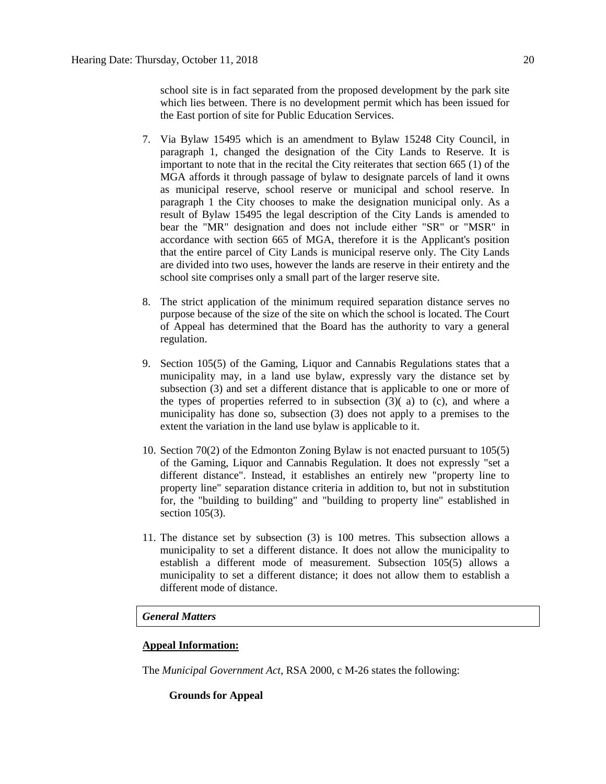school site is in fact separated from the proposed development by the park site which lies between. There is no development permit which has been issued for the East portion of site for Public Education Services.

- 7. Via Bylaw 15495 which is an amendment to Bylaw 15248 City Council, in paragraph 1, changed the designation of the City Lands to Reserve. It is important to note that in the recital the City reiterates that section 665 (1) of the MGA affords it through passage of bylaw to designate parcels of land it owns as municipal reserve, school reserve or municipal and school reserve. In paragraph 1 the City chooses to make the designation municipal only. As a result of Bylaw 15495 the legal description of the City Lands is amended to bear the "MR" designation and does not include either "SR" or "MSR" in accordance with section 665 of MGA, therefore it is the Applicant's position that the entire parcel of City Lands is municipal reserve only. The City Lands are divided into two uses, however the lands are reserve in their entirety and the school site comprises only a small part of the larger reserve site.
- 8. The strict application of the minimum required separation distance serves no purpose because of the size of the site on which the school is located. The Court of Appeal has determined that the Board has the authority to vary a general regulation.
- 9. Section 105(5) of the Gaming, Liquor and Cannabis Regulations states that a municipality may, in a land use bylaw, expressly vary the distance set by subsection (3) and set a different distance that is applicable to one or more of the types of properties referred to in subsection  $(3)$  (a) to (c), and where a municipality has done so, subsection (3) does not apply to a premises to the extent the variation in the land use bylaw is applicable to it.
- 10. Section 70(2) of the Edmonton Zoning Bylaw is not enacted pursuant to 105(5) of the Gaming, Liquor and Cannabis Regulation. It does not expressly "set a different distance". Instead, it establishes an entirely new "property line to property line" separation distance criteria in addition to, but not in substitution for, the "building to building" and "building to property line" established in section 105(3).
- 11. The distance set by subsection (3) is 100 metres. This subsection allows a municipality to set a different distance. It does not allow the municipality to establish a different mode of measurement. Subsection 105(5) allows a municipality to set a different distance; it does not allow them to establish a different mode of distance.

## *General Matters*

## **Appeal Information:**

The *Municipal Government Act*, RSA 2000, c M-26 states the following:

#### **Grounds for Appeal**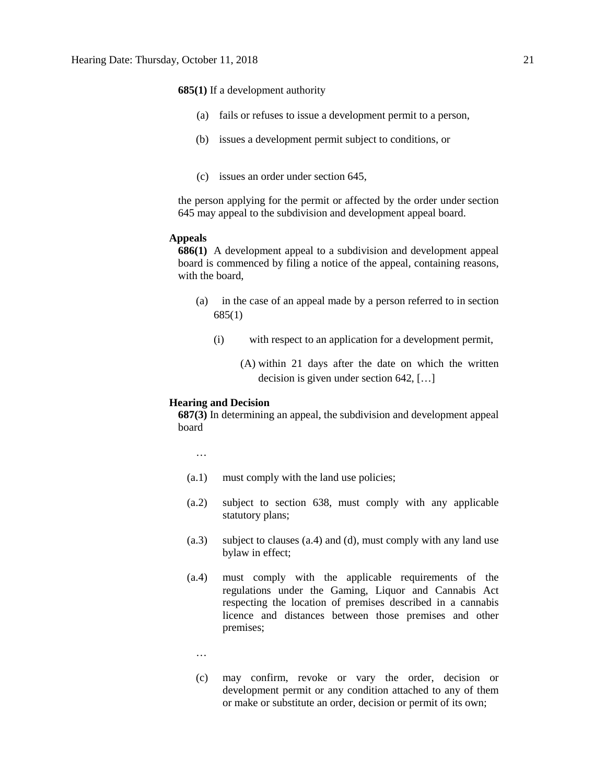**685(1)** If a development authority

- (a) fails or refuses to issue a development permit to a person,
- (b) issues a development permit subject to conditions, or
- (c) issues an order under section 645,

the person applying for the permit or affected by the order under section 645 may appeal to the subdivision and development appeal board.

### **Appeals**

**686(1)** A development appeal to a subdivision and development appeal board is commenced by filing a notice of the appeal, containing reasons, with the board,

- (a) in the case of an appeal made by a person referred to in section 685(1)
	- (i) with respect to an application for a development permit,
		- (A) within 21 days after the date on which the written decision is given under section 642, […]

#### **Hearing and Decision**

**687(3)** In determining an appeal, the subdivision and development appeal board

…

- (a.1) must comply with the land use policies;
- (a.2) subject to section 638, must comply with any applicable statutory plans;
- (a.3) subject to clauses (a.4) and (d), must comply with any land use bylaw in effect;
- (a.4) must comply with the applicable requirements of the regulations under the Gaming, Liquor and Cannabis Act respecting the location of premises described in a cannabis licence and distances between those premises and other premises;
	- …
	- (c) may confirm, revoke or vary the order, decision or development permit or any condition attached to any of them or make or substitute an order, decision or permit of its own;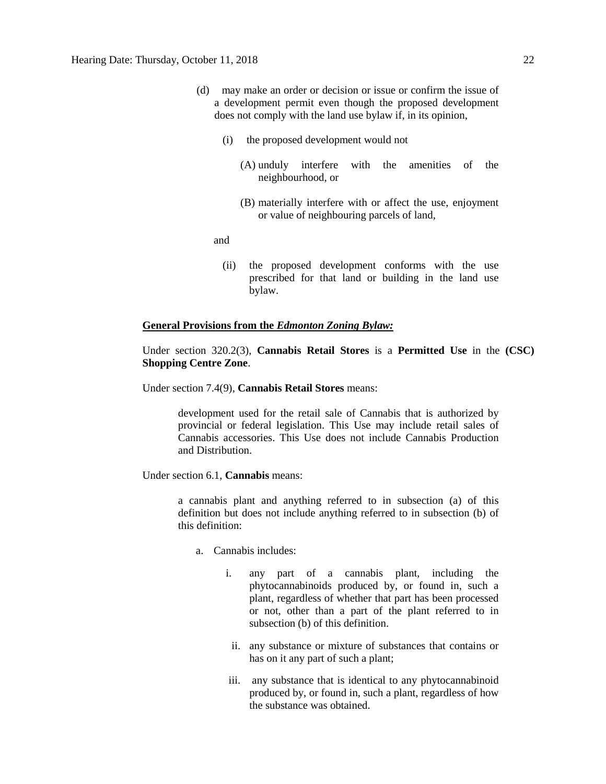- (d) may make an order or decision or issue or confirm the issue of a development permit even though the proposed development does not comply with the land use bylaw if, in its opinion,
	- (i) the proposed development would not
		- (A) unduly interfere with the amenities of the neighbourhood, or
		- (B) materially interfere with or affect the use, enjoyment or value of neighbouring parcels of land,

and

(ii) the proposed development conforms with the use prescribed for that land or building in the land use bylaw.

### **General Provisions from the** *Edmonton Zoning Bylaw:*

Under section 320.2(3), **Cannabis Retail Stores** is a **Permitted Use** in the **(CSC) Shopping Centre Zone**.

Under section 7.4(9), **Cannabis Retail Stores** means:

development used for the retail sale of Cannabis that is authorized by provincial or federal legislation. This Use may include retail sales of Cannabis accessories. This Use does not include Cannabis Production and Distribution.

Under section 6.1, **Cannabis** means:

a cannabis plant and anything referred to in subsection (a) of this definition but does not include anything referred to in subsection (b) of this definition:

- a. Cannabis includes:
	- i. any part of a cannabis plant, including the phytocannabinoids produced by, or found in, such a plant, regardless of whether that part has been processed or not, other than a part of the plant referred to in subsection (b) of this definition.
		- ii. any substance or mixture of substances that contains or has on it any part of such a plant;
	- iii. any substance that is identical to any phytocannabinoid produced by, or found in, such a plant, regardless of how the substance was obtained.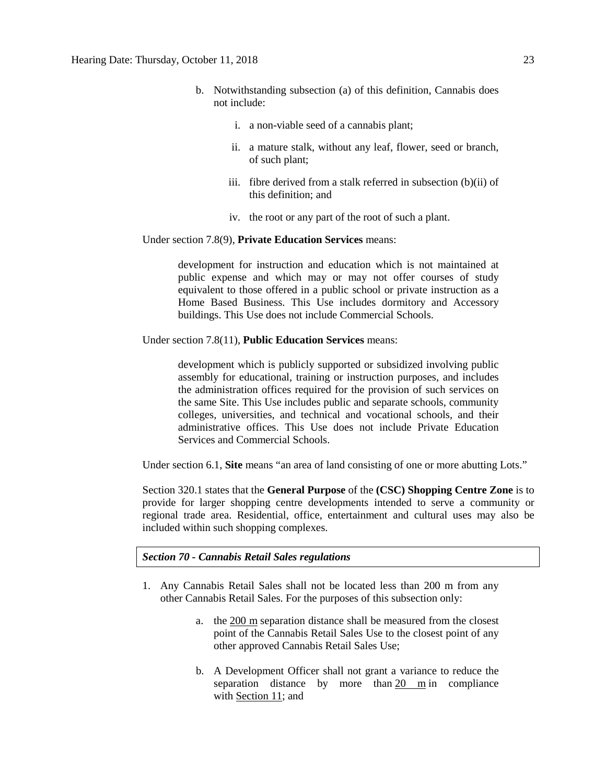- b. Notwithstanding subsection (a) of this definition, Cannabis does not include:
	- i. a non-viable seed of a cannabis plant;
	- ii. a mature stalk, without any leaf, flower, seed or branch, of such plant;
	- iii. fibre derived from a stalk referred in subsection (b)(ii) of this definition; and
	- iv. the root or any part of the root of such a plant.

#### Under section 7.8(9), **Private Education Services** means:

development for instruction and education which is not maintained at public expense and which may or may not offer courses of study equivalent to those offered in a public school or private instruction as a Home Based Business. This Use includes dormitory and Accessory buildings. This Use does not include Commercial Schools.

Under section 7.8(11), **Public Education Services** means:

development which is publicly supported or subsidized involving public assembly for educational, training or instruction purposes, and includes the administration offices required for the provision of such services on the same Site. This Use includes public and separate schools, community colleges, universities, and technical and vocational schools, and their administrative offices. This Use does not include Private Education Services and Commercial Schools.

Under section 6.1, **Site** means "an area of land consisting of one or more abutting Lots."

Section 320.1 states that the **General Purpose** of the **(CSC) Shopping Centre Zone** is to provide for larger shopping centre developments intended to serve a community or regional trade area. Residential, office, entertainment and cultural uses may also be included within such shopping complexes.

*Section 70 - Cannabis Retail Sales regulations*

- 1. Any Cannabis Retail Sales shall not be located less than 200 m from any other Cannabis Retail Sales. For the purposes of this subsection only:
	- a. the [200 m](javascript:void(0);) separation distance shall be measured from the closest point of the Cannabis Retail Sales Use to the closest point of any other approved Cannabis Retail Sales Use;
	- b. A Development Officer shall not grant a variance to reduce the separation distance by more than [20 m](javascript:void(0);) in compliance with [Section 11;](https://webdocs.edmonton.ca/InfraPlan/zoningbylaw/ZoningBylaw/Part1/Administrative/11__Authority_and_Responsibility_of_the_Development_Officer.htm) and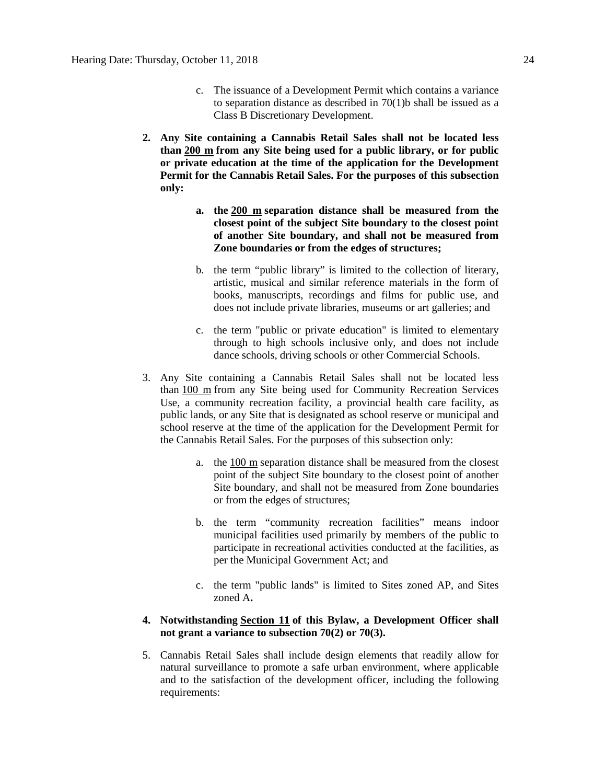- c. The issuance of a Development Permit which contains a variance to separation distance as described in 70(1)b shall be issued as a Class B Discretionary Development.
- **2. Any Site containing a Cannabis Retail Sales shall not be located less than [200 m](javascript:void(0);) from any Site being used for a public library, or for public or private education at the time of the application for the Development Permit for the Cannabis Retail Sales. For the purposes of this subsection only:**
	- **a. the [200 m](javascript:void(0);) separation distance shall be measured from the closest point of the subject Site boundary to the closest point of another Site boundary, and shall not be measured from Zone boundaries or from the edges of structures;**
	- b. the term "public library" is limited to the collection of literary, artistic, musical and similar reference materials in the form of books, manuscripts, recordings and films for public use, and does not include private libraries, museums or art galleries; and
	- c. the term "public or private education" is limited to elementary through to high schools inclusive only, and does not include dance schools, driving schools or other Commercial Schools.
- 3. Any Site containing a Cannabis Retail Sales shall not be located less than [100 m](javascript:void(0);) from any Site being used for Community Recreation Services Use, a community recreation facility, a provincial health care facility, as public lands, or any Site that is designated as school reserve or municipal and school reserve at the time of the application for the Development Permit for the Cannabis Retail Sales. For the purposes of this subsection only:
	- a. the [100 m](javascript:void(0);) separation distance shall be measured from the closest point of the subject Site boundary to the closest point of another Site boundary, and shall not be measured from Zone boundaries or from the edges of structures;
	- b. the term "community recreation facilities" means indoor municipal facilities used primarily by members of the public to participate in recreational activities conducted at the facilities, as per the Municipal Government Act; and
	- c. the term "public lands" is limited to Sites zoned AP, and Sites zoned A**.**

# **4. Notwithstanding [Section 11](https://webdocs.edmonton.ca/InfraPlan/zoningbylaw/ZoningBylaw/Part1/Administrative/11__Authority_and_Responsibility_of_the_Development_Officer.htm) of this Bylaw, a Development Officer shall not grant a variance to subsection 70(2) or 70(3).**

5. Cannabis Retail Sales shall include design elements that readily allow for natural surveillance to promote a safe urban environment, where applicable and to the satisfaction of the development officer, including the following requirements: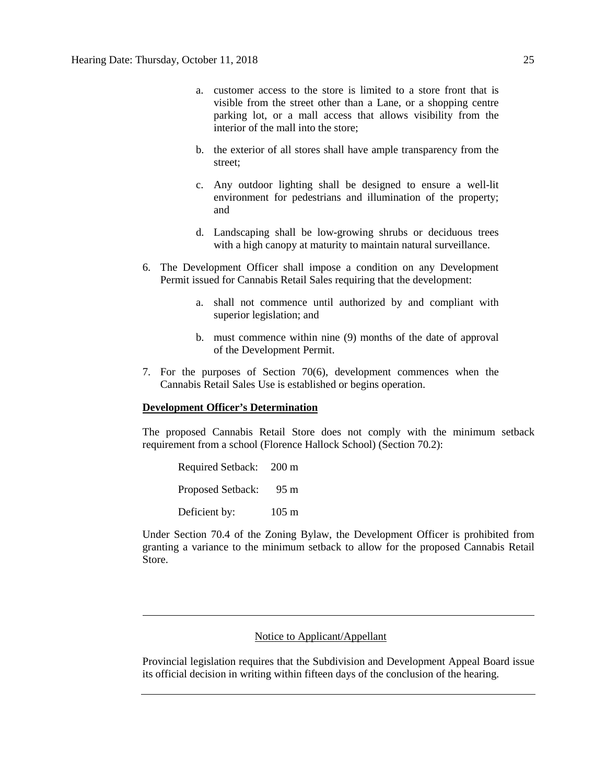- a. customer access to the store is limited to a store front that is visible from the street other than a Lane, or a shopping centre parking lot, or a mall access that allows visibility from the interior of the mall into the store;
- b. the exterior of all stores shall have ample transparency from the street;
- c. Any outdoor lighting shall be designed to ensure a well-lit environment for pedestrians and illumination of the property; and
- d. Landscaping shall be low-growing shrubs or deciduous trees with a high canopy at maturity to maintain natural surveillance.
- 6. The Development Officer shall impose a condition on any Development Permit issued for Cannabis Retail Sales requiring that the development:
	- a. shall not commence until authorized by and compliant with superior legislation; and
	- b. must commence within nine (9) months of the date of approval of the Development Permit.
- 7. For the purposes of Section 70(6), development commences when the Cannabis Retail Sales Use is established or begins operation.

## **Development Officer's Determination**

The proposed Cannabis Retail Store does not comply with the minimum setback requirement from a school (Florence Hallock School) (Section 70.2):

Required Setback: 200 m Proposed Setback: 95 m Deficient by: 105 m

Under Section 70.4 of the Zoning Bylaw, the Development Officer is prohibited from granting a variance to the minimum setback to allow for the proposed Cannabis Retail Store.

# Notice to Applicant/Appellant

Provincial legislation requires that the Subdivision and Development Appeal Board issue its official decision in writing within fifteen days of the conclusion of the hearing.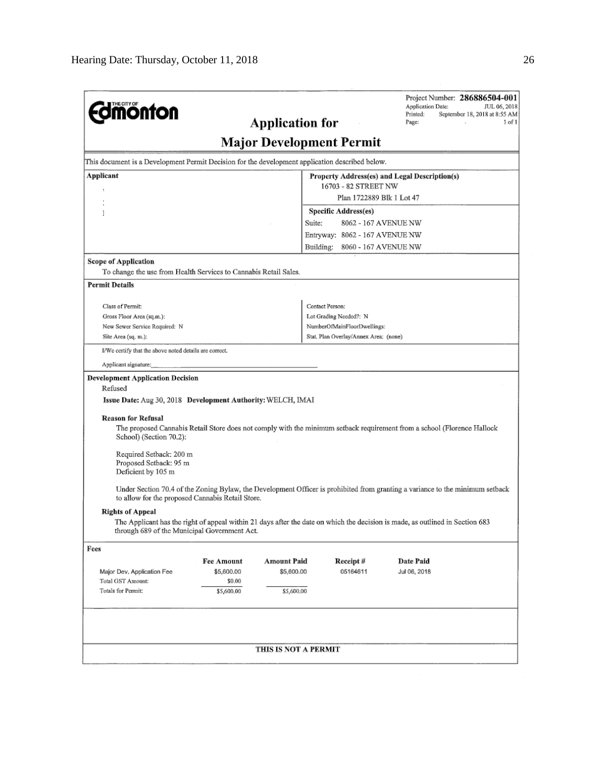| <b>diffición de la parte de la parte de la parte de la parte de la parte de la parte de la parte de la parte de l</b>                                                                                 |                                                  | <b>Application for</b> |                                       | Project Number: 286886504-001<br><b>Application Date:</b><br>JUL 06, 2018<br>Printed:<br>September 18, 2018 at 8:55 AM<br>Page:<br>1 of 1 |  |  |  |  |  |
|-------------------------------------------------------------------------------------------------------------------------------------------------------------------------------------------------------|--------------------------------------------------|------------------------|---------------------------------------|-------------------------------------------------------------------------------------------------------------------------------------------|--|--|--|--|--|
| <b>Major Development Permit</b>                                                                                                                                                                       |                                                  |                        |                                       |                                                                                                                                           |  |  |  |  |  |
| This document is a Development Permit Decision for the development application described below.                                                                                                       |                                                  |                        |                                       |                                                                                                                                           |  |  |  |  |  |
| <b>Applicant</b><br>Property Address(es) and Legal Description(s)                                                                                                                                     |                                                  |                        |                                       |                                                                                                                                           |  |  |  |  |  |
| 16703 - 82 STREET NW                                                                                                                                                                                  |                                                  |                        |                                       |                                                                                                                                           |  |  |  |  |  |
|                                                                                                                                                                                                       |                                                  |                        | Plan 1722889 Blk 1 Lot 47             |                                                                                                                                           |  |  |  |  |  |
| 1                                                                                                                                                                                                     |                                                  |                        | <b>Specific Address(es)</b>           |                                                                                                                                           |  |  |  |  |  |
|                                                                                                                                                                                                       |                                                  | Suite:                 | 8062 - 167 AVENUE NW                  |                                                                                                                                           |  |  |  |  |  |
|                                                                                                                                                                                                       |                                                  |                        | Entryway: 8062 - 167 AVENUE NW        |                                                                                                                                           |  |  |  |  |  |
|                                                                                                                                                                                                       |                                                  |                        | Building: 8060 - 167 AVENUE NW        |                                                                                                                                           |  |  |  |  |  |
| <b>Scope of Application</b>                                                                                                                                                                           |                                                  |                        |                                       |                                                                                                                                           |  |  |  |  |  |
| To change the use from Health Services to Cannabis Retail Sales.                                                                                                                                      |                                                  |                        |                                       |                                                                                                                                           |  |  |  |  |  |
| <b>Permit Details</b>                                                                                                                                                                                 |                                                  |                        |                                       |                                                                                                                                           |  |  |  |  |  |
| Class of Permit:                                                                                                                                                                                      |                                                  |                        | Contact Person:                       |                                                                                                                                           |  |  |  |  |  |
| Gross Floor Area (sq.m.):                                                                                                                                                                             |                                                  |                        | Lot Grading Needed?: N                |                                                                                                                                           |  |  |  |  |  |
| New Sewer Service Required: N                                                                                                                                                                         |                                                  |                        | NumberOfMainFloorDwellings:           |                                                                                                                                           |  |  |  |  |  |
| Site Area (sq. m.):                                                                                                                                                                                   |                                                  |                        | Stat, Plan Overlay/Annex Area; (none) |                                                                                                                                           |  |  |  |  |  |
| I/We certify that the above noted details are correct.                                                                                                                                                |                                                  |                        |                                       |                                                                                                                                           |  |  |  |  |  |
| Applicant signature:                                                                                                                                                                                  |                                                  |                        |                                       |                                                                                                                                           |  |  |  |  |  |
| <b>Issue Date:</b> Aug 30, 2018 Development Authority: WELCH, IMAI<br><b>Reason for Refusal</b><br>School) (Section 70.2):<br>Required Setback: 200 m<br>Proposed Setback: 95 m<br>Deficient by 105 m |                                                  |                        |                                       | The proposed Cannabis Retail Store does not comply with the minimum setback requirement from a school (Florence Hallock                   |  |  |  |  |  |
|                                                                                                                                                                                                       | to allow for the proposed Cannabis Retail Store. |                        |                                       | Under Section 70.4 of the Zoning Bylaw, the Development Officer is prohibited from granting a variance to the minimum setback             |  |  |  |  |  |
| <b>Rights of Appeal</b>                                                                                                                                                                               | through 689 of the Municipal Government Act.     |                        |                                       | The Applicant has the right of appeal within 21 days after the date on which the decision is made, as outlined in Section 683             |  |  |  |  |  |
| Fees                                                                                                                                                                                                  |                                                  |                        |                                       |                                                                                                                                           |  |  |  |  |  |
|                                                                                                                                                                                                       | <b>Fee Amount</b>                                | <b>Amount Paid</b>     | Receipt#                              | <b>Date Paid</b>                                                                                                                          |  |  |  |  |  |
| Major Dev. Application Fee                                                                                                                                                                            | \$5,600.00                                       | \$5,600.00             | 05164611                              | Jul 06, 2018                                                                                                                              |  |  |  |  |  |
| Total GST Amount:<br>Totals for Permit:                                                                                                                                                               | \$0.00<br>\$5,600.00                             | \$5,600.00             |                                       |                                                                                                                                           |  |  |  |  |  |
|                                                                                                                                                                                                       |                                                  |                        |                                       |                                                                                                                                           |  |  |  |  |  |
|                                                                                                                                                                                                       |                                                  | THIS IS NOT A PERMIT   |                                       |                                                                                                                                           |  |  |  |  |  |